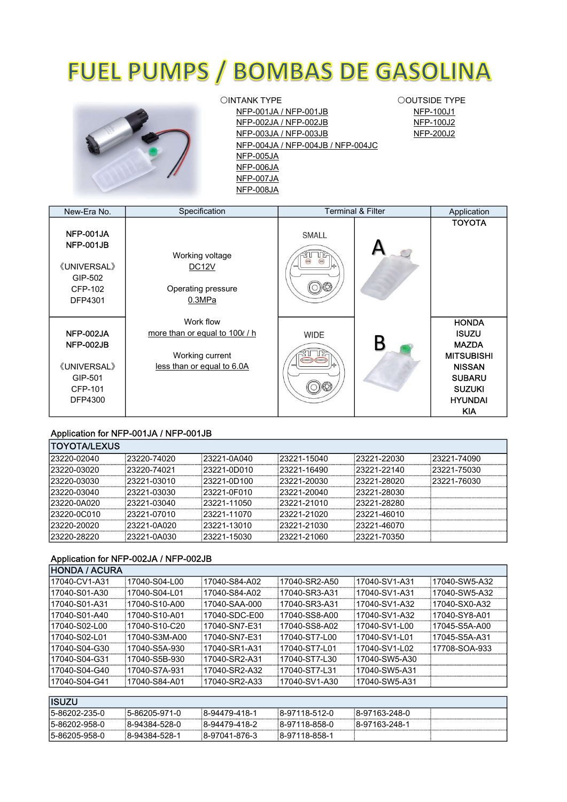# **FUEL PUMPS / BOMBAS DE GASOLINA**



 〇INTANK TYPE NFP-004JA / NFP-004JB / NFP-004JC NFP-006JA NFP-007JA NFP-008JA NFP-001JA / NFP-001JB NFP-005JA NFP-002JA / NFP-002JB NFP-003JA / NFP-003JB

 〇OUTSIDE TYPE NFP-100J1 NFP-100J2 NFP-200J2

| New-Era No.                                                                   | Specification                                                                                |                                       | <b>Terminal &amp; Filter</b> | Application                                                                                                                                          |
|-------------------------------------------------------------------------------|----------------------------------------------------------------------------------------------|---------------------------------------|------------------------------|------------------------------------------------------------------------------------------------------------------------------------------------------|
| NFP-001JA<br>NFP-001JB<br><b>《UNIVERSAL》</b><br>GIP-502<br>CFP-102<br>DFP4301 | Working voltage<br>DC <sub>12</sub> V<br>Operating pressure<br>0.3MPa                        | SMALL<br>$\bigcirc$<br>$\circledcirc$ |                              | <b>TOYOTA</b>                                                                                                                                        |
| NFP-002JA<br>NFP-002JB<br><b>《UNIVERSAL》</b><br>GIP-501<br>CFP-101<br>DFP4300 | Work flow<br>more than or equal to 1000 / h<br>Working current<br>less than or equal to 6.0A | <b>WIDE</b>                           |                              | <b>HONDA</b><br><b>ISUZU</b><br><b>MAZDA</b><br><b>MITSUBISHI</b><br><b>NISSAN</b><br><b>SUBARU</b><br><b>SUZUKI</b><br><b>HYUNDAI</b><br><b>KIA</b> |

### Application for NFP-001JA / NFP-001JB

| <b>TOYOTA/LEXUS</b> |              |              |              |              |              |
|---------------------|--------------|--------------|--------------|--------------|--------------|
| 123220-02040        | 23220-74020  | 23221-0A040  | 123221-15040 | 23221-22030  | 23221-74090  |
| 23220-03020         | :23220-74021 | 23221-0D010  | :23221-16490 | 123221-22140 | 123221-75030 |
| 23220-03030         | 23221-03010  | 23221-0D100  | :23221-20030 | :23221-28020 | :23221-76030 |
| 23220-03040         | 23221-03030  | 23221-0F010  | 123221-20040 | :23221-28030 |              |
| 23220-0A020         | 23221-03040  | 123221-11050 | 23221-21010  | :23221-28280 |              |
| 23220-0C010         | 123221-07010 | 123221-11070 | :23221-21020 | :23221-46010 |              |
| 123220-20020        | 123221-0A020 | 123221-13010 | :23221-21030 | :23221-46070 |              |
| 23220-28220         | 23221-0A030  | 23221-15030  | 23221-21060  | 123221-70350 |              |

#### Application for NFP-002JA / NFP-002JB

| IHONDA / ACURA |                |                |               |                |                |
|----------------|----------------|----------------|---------------|----------------|----------------|
| 17040-CV1-A31  | 17040-S04-L00  | 17040-S84-A02  | 17040-SR2-A50 | 17040-SV1-A31  | 17040-SW5-A32  |
| 17040-S01-A30  | 17040-S04-L01  | 17040-S84-A02  | 17040-SR3-A31 | 17040-SV1-A31  | 17040-SW5-A32  |
| 17040-S01-A31  | 17040-S10-A00  | 17040-SAA-000  | 17040-SR3-A31 | 17040-SV1-A32  | 17040-SX0-A32  |
| 17040-S01-A40  | 17040-S10-A01  | 17040-SDC-E00  | 17040-SS8-A00 | 17040-SV1-A32  | 17040-SY8-A01  |
| 17040-S02-L00  | 17040-S10-C20! | 17040-SN7-E31! | 17040-SS8-A02 | 17040-SV1-L00  | 17045-S5A-A00  |
| 17040-S02-L01  | 17040-S3M-A00  | 17040-SN7-E31  | 17040-ST7-L00 | 17040-SV1-L01  | 17045-S5A-A31  |
| 17040-S04-G30  | 17040-S5A-930  | 17040-SR1-A31  | 17040-ST7-L01 | 17040-SV1-L02  | 17708-SOA-933! |
| 17040-S04-G31  | 17040-S5B-930  | 17040-SR2-A31! | 17040-ST7-L30 | 17040-SW5-A30  |                |
| 17040-S04-G40  | 17040-S7A-931  | 17040-SR2-A32  | 17040-ST7-L31 | 17040-SW5-A31  |                |
| 17040-S04-G41  | 17040-S84-A01  | 17040-SR2-A33  | 17040-SV1-A30 | :17040-SW5-A31 |                |
|                |                |                |               |                |                |
| <b>IISUZU</b>  |                |                |               |                |                |
| 5-86202-235-0  | :5-86205-971-0 | 8-94479-418-1  | 8-97118-512-0 | 8-97163-248-0  |                |
| l5-86202-958-0 | 8-94384-528-0  | 8-94479-418-2  | 8-97118-858-0 | 8-97163-248-1  |                |
| 5-86205-958-0  | 8-94384-528-1  | 8-97041-876-3  | 8-97118-858-1 |                |                |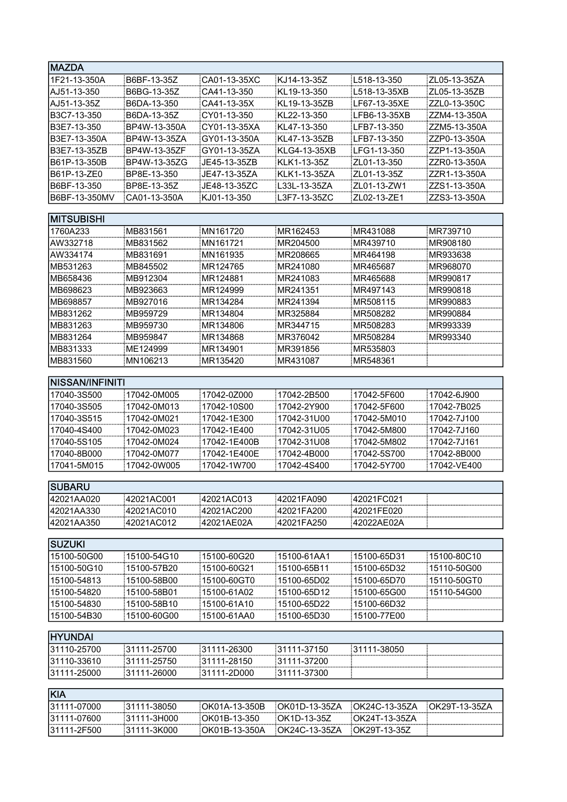| <b>MAZDA</b>           |                      |                       |                          |                      |                      |
|------------------------|----------------------|-----------------------|--------------------------|----------------------|----------------------|
| 1F21-13-350A           | B6BF-13-35Z          | CA01-13-35XC          | KJ14-13-35Z              | L518-13-350          | ZL05-13-35ZA         |
| AJ51-13-350            | B6BG-13-35Z          | CA41-13-350           | KL19-13-350              | L518-13-35XB         | ZL05-13-35ZB         |
| AJ51-13-35Z            | B6DA-13-350          | CA41-13-35X           | KL19-13-35ZB             | LF67-13-35XE         | ZZL0-13-350C         |
| B3C7-13-350            | B6DA-13-35Z          | CY01-13-350           | KL22-13-350              | LFB6-13-35XB         | ZZM4-13-350A         |
| B3E7-13-350            | BP4W-13-350A         | CY01-13-35XA          | KL47-13-350              | LFB7-13-350          | ZZM5-13-350A         |
| B3E7-13-350A           | BP4W-13-35ZA         | GY01-13-350A          | KL47-13-35ZB             | LFB7-13-350          | ZZP0-13-350A         |
| B3E7-13-35ZB           | BP4W-13-35ZF         | GY01-13-35ZA          | KLG4-13-35XB             | LFG1-13-350          | ZZP1-13-350A         |
| B61P-13-350B           | BP4W-13-35ZG         | JE45-13-35ZB          | KLK1-13-35Z              | ZL01-13-350          | ZZR0-13-350A         |
| B61P-13-ZE0            | BP8E-13-350          | JE47-13-35ZA          | KLK1-13-35ZA             | ZL01-13-35Z          | ZZR1-13-350A         |
| B6BF-13-350            | BP8E-13-35Z          | JE48-13-35ZC          | L33L-13-35ZA             | ZL01-13-ZW1          | ZZS1-13-350A         |
| B6BF-13-350MV          | CA01-13-350A         | KJ01-13-350           | L3F7-13-35ZC             | ZL02-13-ZE1          | ZZS3-13-350A         |
| <b>MITSUBISHI</b>      |                      |                       |                          |                      |                      |
|                        | MB831561             | MN161720              |                          | MR431088             | MR739710             |
| 1760A233               |                      |                       | :MR162453                |                      |                      |
| AW332718               | MB831562             | MN161721              | MR204500<br>MR208665     | MR439710<br>MR464198 | MR908180             |
| AW334174               | MB831691<br>MB845502 | MN161935              |                          |                      | MR933638             |
| MB531263<br>MB658436   | MB912304             | MR124765!<br>MR124881 | MR241080<br>MR241083     | MR465687<br>MR465688 | MR968070<br>MR990817 |
| MB698623               | MB923663             | MR124999              | MR241351                 | MR497143             | MR990818             |
| MB698857               | MB927016             | MR134284!             | MR241394                 | MR508115             | MR990883             |
| MB831262               | MB959729             | MR134804              | MR325884                 | MR508282             | MR990884             |
| MB831263               | MB959730             | MR134806              | MR344715                 | MR508283             | MR993339             |
| MB831264               | MB959847             | MR134868              | MR376042                 | MR508284             | MR993340             |
| MB831333               | ME124999             | MR134901:             | MR391856                 | MR535803             |                      |
| MB831560               | :MN106213            | MR135420:             | MR431087                 | MR548361             |                      |
|                        |                      |                       |                          |                      |                      |
| <b>NISSAN/INFINITI</b> |                      |                       |                          |                      |                      |
| 17040-3S500            | 17042-0M005          | 17042-0Z000           | 17042-2B500              | 17042-5F600          | 17042-6J900          |
| 17040-3S505            | 17042-0M013          | 17042-10S00           | 17042-2Y900              | 17042-5F600          | 17042-7B025          |
| 17040-3S515            | 17042-0M021          | 17042-1E300           | 17042-31U00              | 17042-5M010          | 17042-7J100          |
| 17040-4S400            | 17042-0M023          | 17042-1E400           | 17042-31U05              | 17042-5M800          | 17042-7J160          |
| 17040-5S105            | 17042-0M024          | 17042-1E400B          | 17042-31U08              | 17042-5M802          | 17042-7J161          |
| 17040-8B000            | 17042-0M077          | 17042-1E400E          | 17042-4B000              | 17042-5S700          | 17042-8B000          |
| 17041-5M015            | 17042-0W005          | 17042-1W700           | 17042-4S400              | 17042-5Y700          | 17042-VE400          |
| <b>SUBARU</b>          |                      |                       |                          |                      |                      |
|                        |                      |                       |                          |                      |                      |
| 42021AA020             | 42021AC001           | i42021AC013           | 42021FA090               | 42021FC021           |                      |
| 42021AA330             | 42021AC010           | 42021AC200            | 42021FA200               | 42021FE020           |                      |
| 42021AA350             | 42021AC012           | 42021AE02A            | 42021FA250               | 42022AE02A           |                      |
| <b>SUZUKI</b>          |                      |                       |                          |                      |                      |
| 15100-50G00            | 15100-54G10          | 15100-60G20!          | 15100-61AA1 <del>!</del> | 15100-65D31          | 15100-80C10          |
| 15100-50G10            | 15100-57B20          | 15100-60G21           | 15100-65B11              | 15100-65D32          | 15110-50G00          |
| 15100-54813            | 15100-58B00          | 15100-60GT0           | 15100-65D02              | 15100-65D70          | 15110-50GT0          |
| 15100-54820            | 15100-58B01          | 15100-61A02           | 15100-65D12              | 15100-65G00          | 15110-54G00          |
| 15100-54830            | 15100-58B10          | 15100-61A10           | 15100-65D22              | 15100-66D32          |                      |
| 15100-54B30            | 15100-60G00          | 15100-61AA0!          | 15100-65D30 !            | 15100-77E00          |                      |
|                        |                      |                       |                          |                      |                      |
| <b>HYUNDAI</b>         |                      |                       |                          |                      |                      |
| 31110-25700            | 31111-25700          | 31111-26300           | 81111-37150              | 31111-38050          |                      |
| 31110-33610            | 31111-25750          | 31111-28150           | 31111-37200              |                      |                      |
| 31111-25000            | 31111-26000          | :31111-2D000          | 31111-37300              |                      |                      |
| KIA                    |                      |                       |                          |                      |                      |
| 31111-07000            | 31111-38050          | OK01A-13-350B         | OK01D-13-35ZA            | OK24C-13-35ZA        | OK29T-13-35ZA        |
| 31111-07600            | 31111-3H000          | OK01B-13-350          | OK1D-13-35Z              | OK24T-13-35ZA        |                      |
| 31111-2F500            | 31111-3K000          | OK01B-13-350A         | OK24C-13-35ZA            | OK29T-13-35Z         |                      |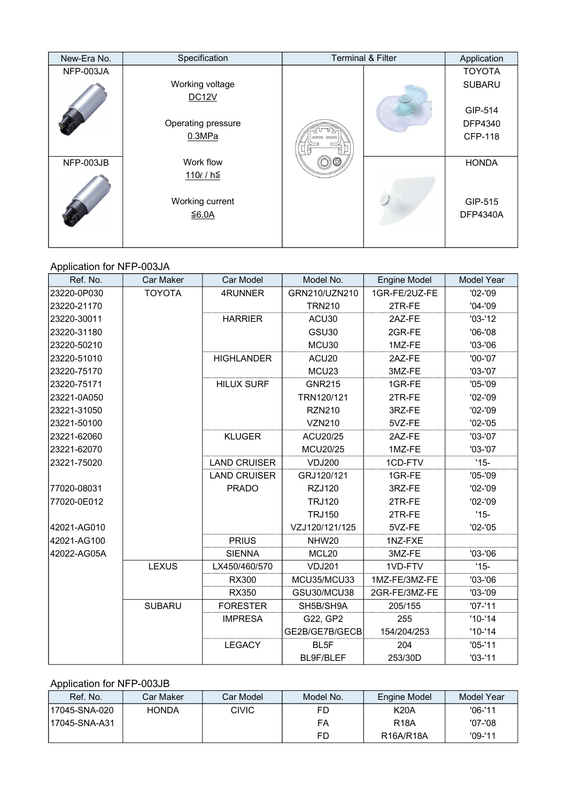| New-Era No. | Specification      | <b>Terminal &amp; Filter</b> | Application     |
|-------------|--------------------|------------------------------|-----------------|
| NFP-003JA   |                    |                              | <b>TOYOTA</b>   |
|             | Working voltage    |                              | <b>SUBARU</b>   |
|             | <b>DC12V</b>       |                              |                 |
|             |                    |                              | GIP-514         |
|             | Operating pressure |                              | DFP4340         |
|             | 0.3MPa             |                              | <b>CFP-118</b>  |
|             |                    |                              |                 |
| NFP-003JB   | Work flow          |                              | <b>HONDA</b>    |
|             | 110ℓ / h≦          |                              |                 |
|             |                    |                              |                 |
|             | Working current    |                              | GIP-515         |
|             | ≤6.0A              |                              | <b>DFP4340A</b> |
|             |                    |                              |                 |
|             |                    |                              |                 |

### Application for NFP-003JA

| Ref. No.    | <b>Car Maker</b> | <b>Car Model</b>    | Model No.         | <b>Engine Model</b> | <b>Model Year</b> |
|-------------|------------------|---------------------|-------------------|---------------------|-------------------|
| 23220-0P030 | <b>TOYOTA</b>    | 4RUNNER             | GRN210/UZN210     | 1GR-FE/2UZ-FE       | $'02 -'09$        |
| 23220-21170 |                  |                     | <b>TRN210</b>     | 2TR-FE              | $'04 - '09$       |
| 23220-30011 |                  | <b>HARRIER</b>      | ACU30             | 2AZ-FE              | $'03-'12$         |
| 23220-31180 |                  |                     | GSU30             | 2GR-FE              | $'06 - '08$       |
| 23220-50210 |                  |                     | MCU30             | 1MZ-FE              | $'03-'06$         |
| 23220-51010 |                  | <b>HIGHLANDER</b>   | ACU <sub>20</sub> | 2AZ-FE              | $'00-'07$         |
| 23220-75170 |                  |                     | MCU <sub>23</sub> | 3MZ-FE              | $'03-'07$         |
| 23220-75171 |                  | <b>HILUX SURF</b>   | <b>GNR215</b>     | 1GR-FE              | $'05 - '09$       |
| 23221-0A050 |                  |                     | TRN120/121        | 2TR-FE              | $'02 - '09$       |
| 23221-31050 |                  |                     | <b>RZN210</b>     | 3RZ-FE              | $'02 - '09$       |
| 23221-50100 |                  |                     | <b>VZN210</b>     | 5VZ-FE              | $'02 - '05$       |
| 23221-62060 |                  | <b>KLUGER</b>       | ACU20/25          | 2AZ-FE              | $'03-'07$         |
| 23221-62070 |                  |                     | <b>MCU20/25</b>   | 1MZ-FE              | $'03-'07$         |
| 23221-75020 |                  | <b>LAND CRUISER</b> | <b>VDJ200</b>     | 1CD-FTV             | $'15-$            |
|             |                  | <b>LAND CRUISER</b> | GRJ120/121        | 1GR-FE              | $'05-'09$         |
| 77020-08031 |                  | <b>PRADO</b>        | <b>RZJ120</b>     | 3RZ-FE              | $'02 - '09$       |
| 77020-0E012 |                  |                     | <b>TRJ120</b>     | 2TR-FE              | $'02 - '09$       |
|             |                  |                     | <b>TRJ150</b>     | 2TR-FE              | $'15-$            |
| 42021-AG010 |                  |                     | VZJ120/121/125    | 5VZ-FE              | $'02 - '05$       |
| 42021-AG100 |                  | <b>PRIUS</b>        | NHW <sub>20</sub> | 1NZ-FXE             |                   |
| 42022-AG05A |                  | <b>SIENNA</b>       | MCL <sub>20</sub> | 3MZ-FE              | $'03-'06$         |
|             | <b>LEXUS</b>     | LX450/460/570       | <b>VDJ201</b>     | 1VD-FTV             | $'15-$            |
|             |                  | <b>RX300</b>        | MCU35/MCU33       | 1MZ-FE/3MZ-FE       | $'03-'06$         |
|             |                  | RX350               | GSU30/MCU38       | 2GR-FE/3MZ-FE       | $'03 - '09$       |
|             | <b>SUBARU</b>    | <b>FORESTER</b>     | SH5B/SH9A         | 205/155             | $'07 - '11$       |
|             |                  | <b>IMPRESA</b>      | G22, GP2          | 255                 | $'10-'14$         |
|             |                  |                     | GE2B/GE7B/GECB    | 154/204/253         | $'10-'14$         |
|             |                  | <b>LEGACY</b>       | BL <sub>5F</sub>  | 204                 | $'05-'11$         |
|             |                  |                     | BL9F/BLEF         | 253/30D             | $'03 - '11$       |

### Application for NFP-003JB

| Ref. No.      | Car Maker    | Car Model | Model No. | Engine Model                        | Model Year |
|---------------|--------------|-----------|-----------|-------------------------------------|------------|
| 17045-SNA-020 | <b>HONDA</b> | CIVIC     | FD        | <b>K20A</b>                         | $'06-11$   |
| 17045-SNA-A31 |              |           | FA        | <b>R18A</b>                         | '07-'08    |
|               |              |           | FD        | R <sub>16</sub> A/R <sub>18</sub> A | $'09-'11$  |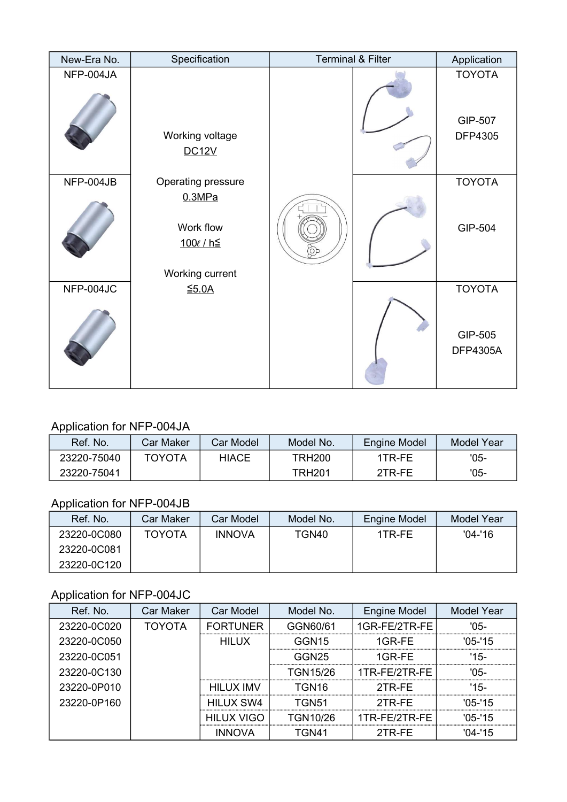| New-Era No. | Specification                                                                    | <b>Terminal &amp; Filter</b> | Application                                 |
|-------------|----------------------------------------------------------------------------------|------------------------------|---------------------------------------------|
| NFP-004JA   | Working voltage<br><b>DC12V</b>                                                  |                              | <b>TOYOTA</b><br>GIP-507<br><b>DFP4305</b>  |
| NFP-004JB   | Operating pressure<br>0.3MPa<br>Work flow<br><u>100ℓ / h≦</u><br>Working current |                              | <b>TOYOTA</b><br>GIP-504                    |
| NFP-004JC   | $≤5.0A$                                                                          |                              | <b>TOYOTA</b><br>GIP-505<br><b>DFP4305A</b> |

# Application for NFP-004JA

| Ref. No.    | Car Maker     | Car Model    | Model No.     | Engine Model | <b>Model Year</b> |
|-------------|---------------|--------------|---------------|--------------|-------------------|
| 23220-75040 | <b>TOYOTA</b> | <b>HIACE</b> | <b>TRH200</b> | 1TR-FF       | '05-              |
| 23220-75041 |               |              | TRH201        | 2TR-FE       | $'05-$            |

## Application for NFP-004JB

| Ref. No.    | Car Maker     | Car Model     | Model No. | Engine Model | <b>Model Year</b> |
|-------------|---------------|---------------|-----------|--------------|-------------------|
| 23220-0C080 | <b>TOYOTA</b> | <b>INNOVA</b> | TGN40     | 1TR-FE       | $'04 - 16$        |
| 23220-0C081 |               |               |           |              |                   |
| 23220-0C120 |               |               |           |              |                   |

# Application for NFP-004JC

| Ref. No.    | Car Maker     | Car Model        | Model No.         | Engine Model  | <b>Model Year</b> |
|-------------|---------------|------------------|-------------------|---------------|-------------------|
| 23220-0C020 | <b>TOYOTA</b> | <b>FORTUNER</b>  | GGN60/61          | 1GR-FE/2TR-FE | $'05-$            |
| 23220-0C050 |               | <b>HILUX</b>     | GGN <sub>15</sub> | $1$ GR-FE     | $'05 - 15$        |
| 23220-0C051 |               |                  | GGN <sub>25</sub> | $1$ GR-FE     | $15-$             |
| 23220-0C130 |               |                  | <b>TGN15/26</b>   | 1TR-FE/2TR-FE | '05-              |
| 23220-0P010 |               | <b>HILUX IMV</b> | TGN16             | 2TR-FE        | '15-              |
| 23220-0P160 |               | HILUX SW4        | TGN51             | 2TR-FE        | $'05 - 15$        |
|             |               | HILUX VIGO       | TGN10/26          | 1TR-FE/2TR-FE | $'05 - 15$        |
|             |               | <b>INNOVA</b>    | TGN41             | 2TR-FE        | $'04 - 15$        |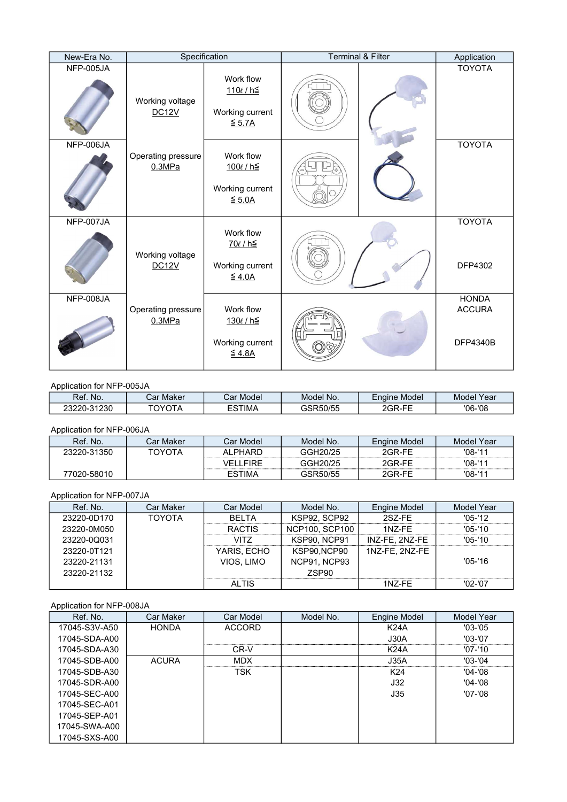| New-Era No. |                                 | Specification                                                      | <b>Terminal &amp; Filter</b> | Application                                      |
|-------------|---------------------------------|--------------------------------------------------------------------|------------------------------|--------------------------------------------------|
| NFP-005JA   | Working voltage<br><b>DC12V</b> | Work flow<br>110 <i>€</i> / h≦<br>Working current<br>$\leq$ 5.7A   |                              | <b>TOYOTA</b>                                    |
| NFP-006JA   | Operating pressure<br>0.3MPa    | Work flow<br>100€/h≦<br>Working current<br>$\leq$ 5.0A             |                              | <b>TOYOTA</b>                                    |
| NFP-007JA   | Working voltage<br><b>DC12V</b> | Work flow<br>70€/h≦<br>Working current<br>$\leq 4.0A$              |                              | <b>TOYOTA</b><br>DFP4302                         |
| NFP-008JA   | Operating pressure<br>0.3MPa    | Work flow<br>130€/h≦<br>Working current<br>$\underline{\leq}$ 4.8A |                              | <b>HONDA</b><br><b>ACCURA</b><br><b>DFP4340B</b> |

### Application for NFP-005JA

| Ref.<br>No.                    | ٠n<br>Maker<br>udi | Model<br>י ה'<br>Jal 1 | Model<br>No. | -<br>Model<br><b>Engine</b> | Year<br><b>Model</b> |
|--------------------------------|--------------------|------------------------|--------------|-----------------------------|----------------------|
| 1230<br><u> 23220-0</u><br>-52 | TOVOT.             | `STIMA_                | 3SR50/55     | $ -$<br>חממ<br>_GP          | $'06 - '08$          |

### Application for NFP-006JA

| Ref. No.    | Car Maker | Car Model I   | Model No. | Engine Model | Model Year |
|-------------|-----------|---------------|-----------|--------------|------------|
| 23220-31350 | ΤΟΥΟΤΑ    | ALPHARD       | GGH20/25  | 2GR-FF       | $'08 - 11$ |
|             |           | FIRE<br>`/FI- | GGH20/25  | 2GR-FF       | $'08 - 11$ |
| 77020-58010 |           | <b>ESTIMA</b> | GSR50/55  | 2GR-FF       | $'08 - 11$ |

### Application for NFP-007JA

| Ref. No.    | Car Maker     | Car Model     | Model No.           | Engine Model   | Model Year  |
|-------------|---------------|---------------|---------------------|----------------|-------------|
| 23220-0D170 | <b>TOYOTA</b> | <b>BFITA</b>  | KSP92, SCP92        | 2SZ-FF         | $'05-'12$   |
| 23220-0M050 |               | <b>RACTIS</b> | NCP100, SCP100      | $1NZ$ -FF      | $'05 - 10'$ |
| 23220-0Q031 |               | VITZ          | <b>KSP90, NCP91</b> | INZ-FE, 2NZ-FE | $'05-10'$   |
| 23220-0T121 |               | YARIS, ECHO   | KSP90.NCP90         | 1NZ-FE, 2NZ-FE |             |
| 23220-21131 |               | VIOS, LIMO    | NCP91, NCP93        |                | $'05 - 16$  |
| 23220-21132 |               |               | ZSP90               |                |             |
|             |               | AI TIS        |                     | 1NZ-FF         | '02-'07     |

### Application for NFP-008JA

| Ref. No.      | <b>Car Maker</b> | Car Model     | Model No. | Engine Model | Model Year  |
|---------------|------------------|---------------|-----------|--------------|-------------|
| 17045-S3V-A50 | <b>HONDA</b>     | <b>ACCORD</b> |           | <b>K24A</b>  | $'03-'05$   |
| 17045-SDA-A00 |                  |               |           | J30A         | $'03-'07$   |
| 17045-SDA-A30 |                  | CR-V          |           | K24A         | $'07 - 10'$ |
| 17045-SDB-A00 | <b>ACURA</b>     | <b>MDX</b>    |           | J35A         | $'03 - 04$  |
| 17045-SDB-A30 |                  | TSK.          |           | K24          | $'04 - 08$  |
| 17045-SDR-A00 |                  |               |           | J32          | $'04 - 08$  |
| 17045-SEC-A00 |                  |               |           | J35          | $'07 - 08$  |
| 17045-SEC-A01 |                  |               |           |              |             |
| 17045-SEP-A01 |                  |               |           |              |             |
| 17045-SWA-A00 |                  |               |           |              |             |
| 17045-SXS-A00 |                  |               |           |              |             |